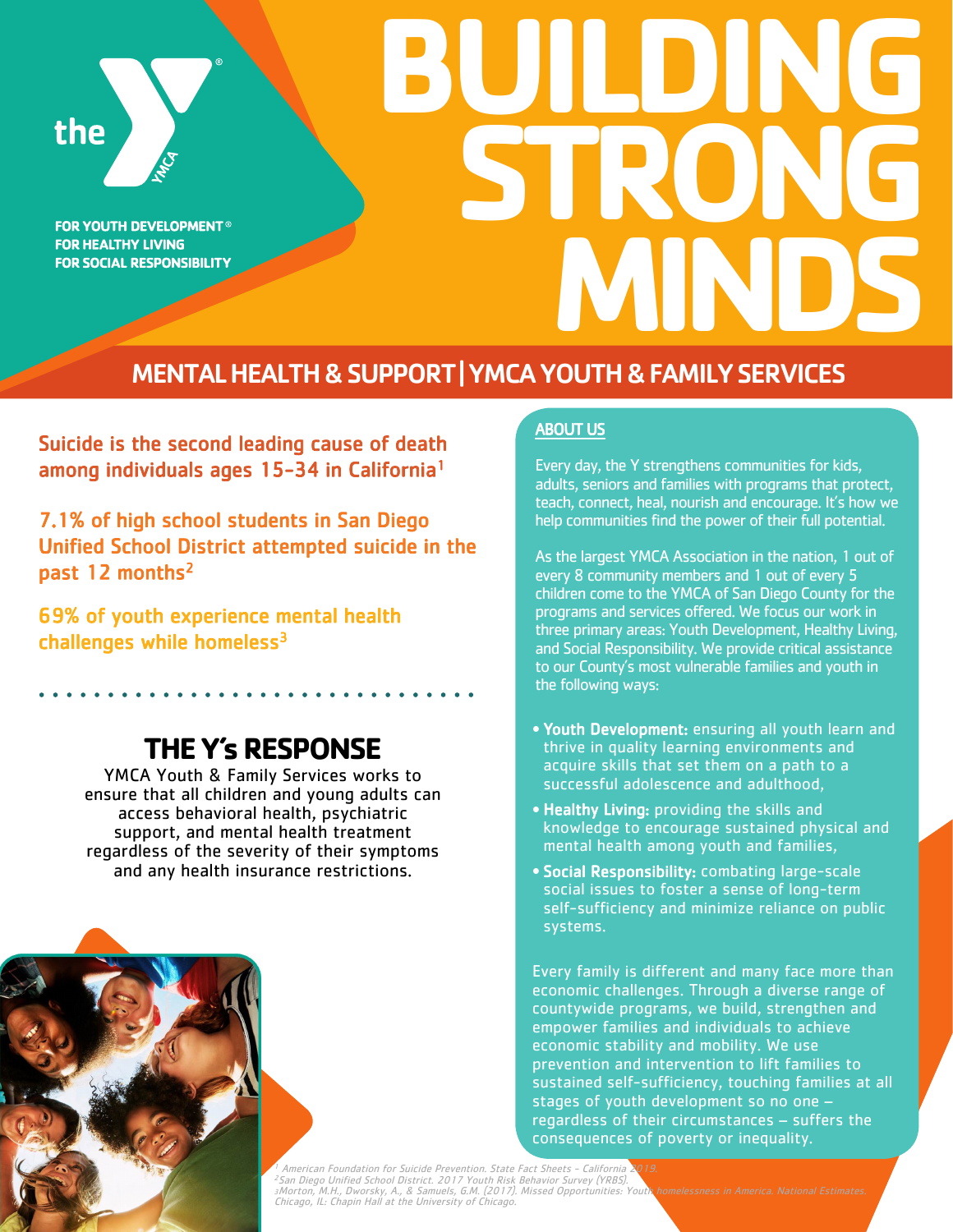

**FOR YOUTH DEVELOPMENT® FOR HEALTHY LIVING FOR SOCIAL RESPONSIBILITY** 

# **BUILDING STRO MINDS**

MENTAL HEALTH & SUPPORT | YMCA YOUTH & FAMILY SERVICES

Suicide is the second leading cause of death among individuals ages 15-34 in California<sup>1</sup>

7.1% of high school students in San Diego Unified School District attempted suicide in the past 12 months<sup>2</sup>

69% of youth experience mental health challenges while homeless $3$ 

## **THE Y's RESPONSE**

YMCA Youth & Family Services works to ensure that all children and young adults can access behavioral health, psychiatric support, and mental health treatment regardless of the severity of their symptoms and any health insurance restrictions.



#### ABOUT US

Every day, the Y strengthens communities for kids, adults, seniors and families with programs that protect, teach, connect, heal, nourish and encourage. It's how we help communities find the power of their full potential.

As the largest YMCA Association in the nation, 1 out of every 8 community members and 1 out of every 5 children come to the YMCA of San Diego County for the programs and services offered. We focus our work in three primary areas: Youth Development, Healthy Living, and Social Responsibility. We provide critical assistance to our County's most vulnerable families and youth in the following ways:

- **•** Youth Development: ensuring all youth learn and thrive in quality learning environments and acquire skills that set them on a path to a successful adolescence and adulthood,
- **•** Healthy Living: providing the skills and knowledge to encourage sustained physical and mental health among youth and families,
- **•** Social Responsibility: combating large-scale social issues to foster a sense of long-term self-sufficiency and minimize reliance on public systems.

Every family is different and many face more than economic challenges. Through a diverse range of countywide programs, we build, strengthen and empower families and individuals to achieve economic stability and mobility. We use prevention and intervention to lift families to sustained self-sufficiency, touching families at all stages of youth development so no one – regardless of their circumstances – suffers the consequences of poverty or inequality.

<sup>1</sup> American Foundation for Suicide Prevention. State Fact Sheets - California 2019.<br><sup>2</sup>San Diego Unified School District. 2017 Youth Risk Behavior Survey (YRBS).<br>¿Morton, M.H., Dworsky, A., & Samuels, G.M. (2017). Missed